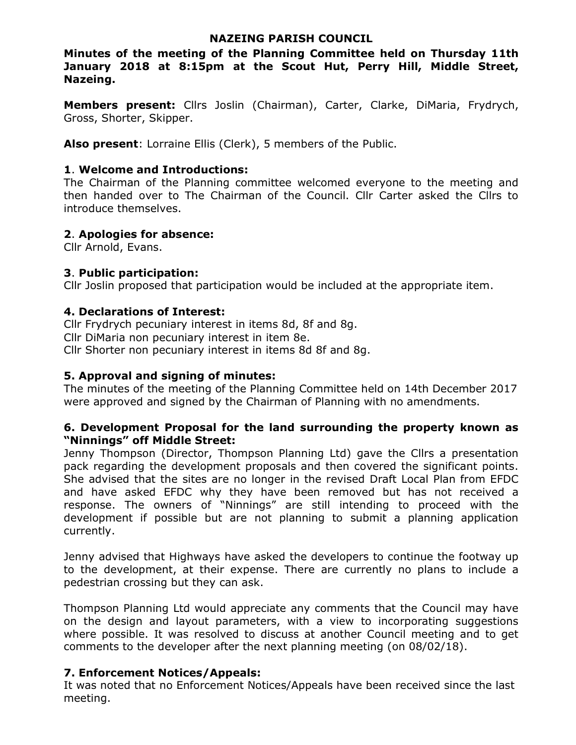### NAZEING PARISH COUNCIL

Minutes of the meeting of the Planning Committee held on Thursday 11th January 2018 at 8:15pm at the Scout Hut, Perry Hill, Middle Street, Nazeing.

Members present: Cllrs Joslin (Chairman), Carter, Clarke, DiMaria, Frydrych, Gross, Shorter, Skipper.

Also present: Lorraine Ellis (Clerk), 5 members of the Public.

### 1. Welcome and Introductions:

The Chairman of the Planning committee welcomed everyone to the meeting and then handed over to The Chairman of the Council. Cllr Carter asked the Cllrs to introduce themselves.

### 2. Apologies for absence:

Cllr Arnold, Evans.

# 3. Public participation:

Cllr Joslin proposed that participation would be included at the appropriate item.

### 4. Declarations of Interest:

Cllr Frydrych pecuniary interest in items 8d, 8f and 8g. Cllr DiMaria non pecuniary interest in item 8e. Cllr Shorter non pecuniary interest in items 8d 8f and 8g.

## 5. Approval and signing of minutes:

The minutes of the meeting of the Planning Committee held on 14th December 2017 were approved and signed by the Chairman of Planning with no amendments.

### 6. Development Proposal for the land surrounding the property known as "Ninnings" off Middle Street:

Jenny Thompson (Director, Thompson Planning Ltd) gave the Cllrs a presentation pack regarding the development proposals and then covered the significant points. She advised that the sites are no longer in the revised Draft Local Plan from EFDC and have asked EFDC why they have been removed but has not received a response. The owners of "Ninnings" are still intending to proceed with the development if possible but are not planning to submit a planning application currently.

Jenny advised that Highways have asked the developers to continue the footway up to the development, at their expense. There are currently no plans to include a pedestrian crossing but they can ask.

Thompson Planning Ltd would appreciate any comments that the Council may have on the design and layout parameters, with a view to incorporating suggestions where possible. It was resolved to discuss at another Council meeting and to get comments to the developer after the next planning meeting (on 08/02/18).

# 7. Enforcement Notices/Appeals:

It was noted that no Enforcement Notices/Appeals have been received since the last meeting.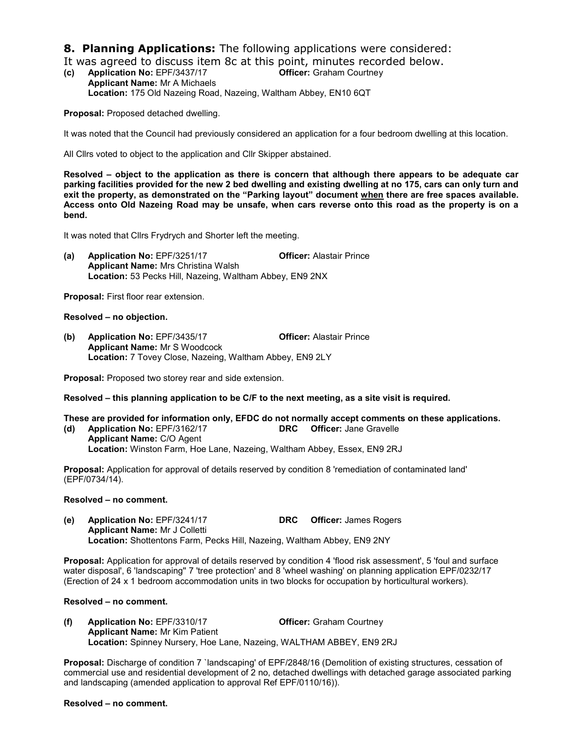**8. Planning Applications:** The following applications were considered:

It was agreed to discuss item 8c at this point, minutes recorded below.<br>(c) Application No: EPF/3437/17 Officer: Graham Courtney (c) Application No:  $EPF/3437/17$ 

Applicant Name: Mr A Michaels Location: 175 Old Nazeing Road, Nazeing, Waltham Abbey, EN10 6QT

Proposal: Proposed detached dwelling.

It was noted that the Council had previously considered an application for a four bedroom dwelling at this location.

All Cllrs voted to object to the application and Cllr Skipper abstained.

Resolved – object to the application as there is concern that although there appears to be adequate car parking facilities provided for the new 2 bed dwelling and existing dwelling at no 175, cars can only turn and exit the property, as demonstrated on the "Parking layout" document when there are free spaces available. Access onto Old Nazeing Road may be unsafe, when cars reverse onto this road as the property is on a bend.

It was noted that Cllrs Frydrych and Shorter left the meeting.

(a) Application No: EPF/3251/17 Officer: Alastair Prince Applicant Name: Mrs Christina Walsh Location: 53 Pecks Hill, Nazeing, Waltham Abbey, EN9 2NX

Proposal: First floor rear extension.

Resolved – no objection.

(b) Application No: EPF/3435/17 **Officer: Alastair Prince** Applicant Name: Mr S Woodcock Location: 7 Tovey Close, Nazeing, Waltham Abbey, EN9 2LY

Proposal: Proposed two storey rear and side extension.

Resolved – this planning application to be C/F to the next meeting, as a site visit is required.

- These are provided for information only, EFDC do not normally accept comments on these applications.
- (d) Application No: EPF/3162/17 DRC Officer: Jane Gravelle Applicant Name: C/O Agent Location: Winston Farm, Hoe Lane, Nazeing, Waltham Abbey, Essex, EN9 2RJ

Proposal: Application for approval of details reserved by condition 8 'remediation of contaminated land' (EPF/0734/14).

#### Resolved – no comment.

(e) Application No: EPF/3241/17 DRC Officer: James Rogers Applicant Name: Mr J Colletti Location: Shottentons Farm, Pecks Hill, Nazeing, Waltham Abbey, EN9 2NY

Proposal: Application for approval of details reserved by condition 4 'flood risk assessment', 5 'foul and surface water disposal', 6 'landscaping'' 7 'tree protection' and 8 'wheel washing' on planning application EPF/0232/17 (Erection of 24 x 1 bedroom accommodation units in two blocks for occupation by horticultural workers).

#### Resolved – no comment.

(f) Application No: EPF/3310/17 Officer: Graham Courtney Applicant Name: Mr Kim Patient Location: Spinney Nursery, Hoe Lane, Nazeing, WALTHAM ABBEY, EN9 2RJ

Proposal: Discharge of condition 7 `landscaping' of EPF/2848/16 (Demolition of existing structures, cessation of commercial use and residential development of 2 no, detached dwellings with detached garage associated parking and landscaping (amended application to approval Ref EPF/0110/16)).

#### Resolved – no comment.